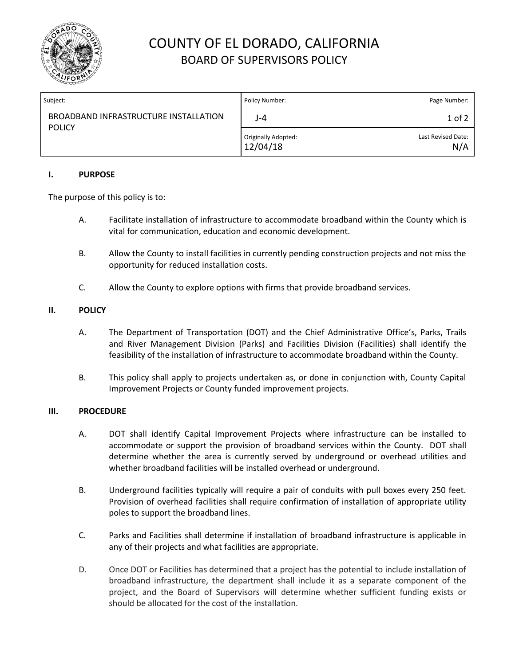

# COUNTY OF EL DORADO, CALIFORNIA BOARD OF SUPERVISORS POLICY

| Subject:                                               | Policy Number:                  | Page Number:              |
|--------------------------------------------------------|---------------------------------|---------------------------|
| BROADBAND INFRASTRUCTURE INSTALLATION<br><b>POLICY</b> | J-4                             | 1 of 2                    |
|                                                        | Originally Adopted:<br>12/04/18 | Last Revised Date:<br>N/A |

### **I. PURPOSE**

The purpose of this policy is to:

- A. Facilitate installation of infrastructure to accommodate broadband within the County which is vital for communication, education and economic development.
- B. Allow the County to install facilities in currently pending construction projects and not miss the opportunity for reduced installation costs.
- C. Allow the County to explore options with firms that provide broadband services.

## **II. POLICY**

- A. The Department of Transportation (DOT) and the Chief Administrative Office's, Parks, Trails and River Management Division (Parks) and Facilities Division (Facilities) shall identify the feasibility of the installation of infrastructure to accommodate broadband within the County.
- B. This policy shall apply to projects undertaken as, or done in conjunction with, County Capital Improvement Projects or County funded improvement projects.

#### **III. PROCEDURE**

- A. DOT shall identify Capital Improvement Projects where infrastructure can be installed to accommodate or support the provision of broadband services within the County. DOT shall determine whether the area is currently served by underground or overhead utilities and whether broadband facilities will be installed overhead or underground.
- B. Underground facilities typically will require a pair of conduits with pull boxes every 250 feet. Provision of overhead facilities shall require confirmation of installation of appropriate utility poles to support the broadband lines.
- C. Parks and Facilities shall determine if installation of broadband infrastructure is applicable in any of their projects and what facilities are appropriate.
- D. Once DOT or Facilities has determined that a project has the potential to include installation of broadband infrastructure, the department shall include it as a separate component of the project, and the Board of Supervisors will determine whether sufficient funding exists or should be allocated for the cost of the installation.